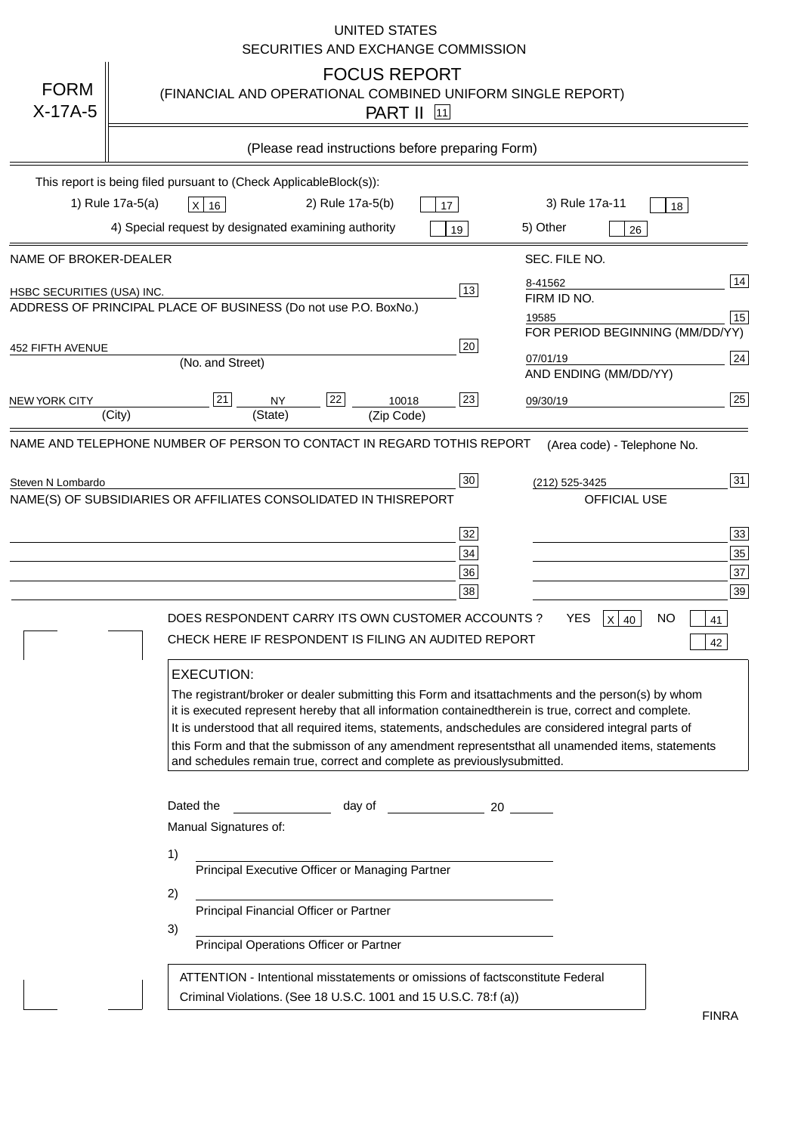|                            | <b>UNITED STATES</b><br>SECURITIES AND EXCHANGE COMMISSION                                                                                                                                                                                                                                                                                                                                                                                                                                                                                                                                                                                                                                                                                                                                                                                                               |
|----------------------------|--------------------------------------------------------------------------------------------------------------------------------------------------------------------------------------------------------------------------------------------------------------------------------------------------------------------------------------------------------------------------------------------------------------------------------------------------------------------------------------------------------------------------------------------------------------------------------------------------------------------------------------------------------------------------------------------------------------------------------------------------------------------------------------------------------------------------------------------------------------------------|
| <b>FORM</b><br>$X-17A-5$   | <b>FOCUS REPORT</b><br>(FINANCIAL AND OPERATIONAL COMBINED UNIFORM SINGLE REPORT)<br><b>PART II</b> 11                                                                                                                                                                                                                                                                                                                                                                                                                                                                                                                                                                                                                                                                                                                                                                   |
|                            | (Please read instructions before preparing Form)                                                                                                                                                                                                                                                                                                                                                                                                                                                                                                                                                                                                                                                                                                                                                                                                                         |
|                            | This report is being filed pursuant to (Check Applicable<br>$Block(s)$ :<br>3) Rule 17a-11<br>1) Rule 17a-5(a)<br>2) Rule 17a-5(b)<br>$X$ 16<br>17<br>18<br>4) Special request by designated examining authority<br>5) Other<br>19<br>26                                                                                                                                                                                                                                                                                                                                                                                                                                                                                                                                                                                                                                 |
| NAME OF BROKER-DEALER      | SEC. FILE NO.                                                                                                                                                                                                                                                                                                                                                                                                                                                                                                                                                                                                                                                                                                                                                                                                                                                            |
| HSBC SECURITIES (USA) INC. | 14<br>8-41562<br>13<br>FIRM ID NO.<br>ADDRESS OF PRINCIPAL PLACE OF BUSINESS (Do not use P.O. Box<br>No.)<br>15<br>19585<br>FOR PERIOD BEGINNING (MM/DD/YY)                                                                                                                                                                                                                                                                                                                                                                                                                                                                                                                                                                                                                                                                                                              |
| <b>452 FIFTH AVENUE</b>    | 20<br>24<br>07/01/19<br>(No. and Street)<br>AND ENDING (MM/DD/YY)                                                                                                                                                                                                                                                                                                                                                                                                                                                                                                                                                                                                                                                                                                                                                                                                        |
| <b>NEW YORK CITY</b>       | 25<br>22<br>21<br>23<br><b>NY</b><br>10018<br>09/30/19<br>(City)<br>(State)<br>(Zip Code)                                                                                                                                                                                                                                                                                                                                                                                                                                                                                                                                                                                                                                                                                                                                                                                |
|                            | NAME(S) OF SUBSIDIARIES OR AFFILIATES CONSOLIDATED IN THIS<br><b>REPORT</b><br><b>OFFICIAL USE</b><br>$\overline{33}$<br>32<br>35<br>34<br>37<br>36<br>39<br>38<br>DOES RESPONDENT CARRY ITS OWN CUSTOMER ACCOUNTS?<br><b>YES</b><br>$X$ 40<br><b>NO</b><br>41<br>CHECK HERE IF RESPONDENT IS FILING AN AUDITED REPORT<br>42<br><b>EXECUTION:</b><br>The registrant/broker or dealer submitting this Form and its<br>attachments and the person(s) by whom<br>it is executed represent hereby that all information contained<br>therein is true, correct and complete.<br>It is understood that all required items, statements, and<br>schedules are considered integral parts of<br>this Form and that the submisson of any amendment represents<br>that all unamended items, statements<br>and schedules remain true, correct and complete as previously<br>submitted. |
|                            | Dated the<br>day of<br>20<br>Manual Signatures of:<br>1)<br>Principal Executive Officer or Managing Partner<br>2)<br>Principal Financial Officer or Partner<br>3)<br>Principal Operations Officer or Partner                                                                                                                                                                                                                                                                                                                                                                                                                                                                                                                                                                                                                                                             |
|                            | ATTENTION - Intentional misstatements or omissions of facts<br>constitute Federal<br>Criminal Violations. (See 18 U.S.C. 1001 and 15 U.S.C. 78:f (a)<br>$\lambda$<br><b>FINRA</b>                                                                                                                                                                                                                                                                                                                                                                                                                                                                                                                                                                                                                                                                                        |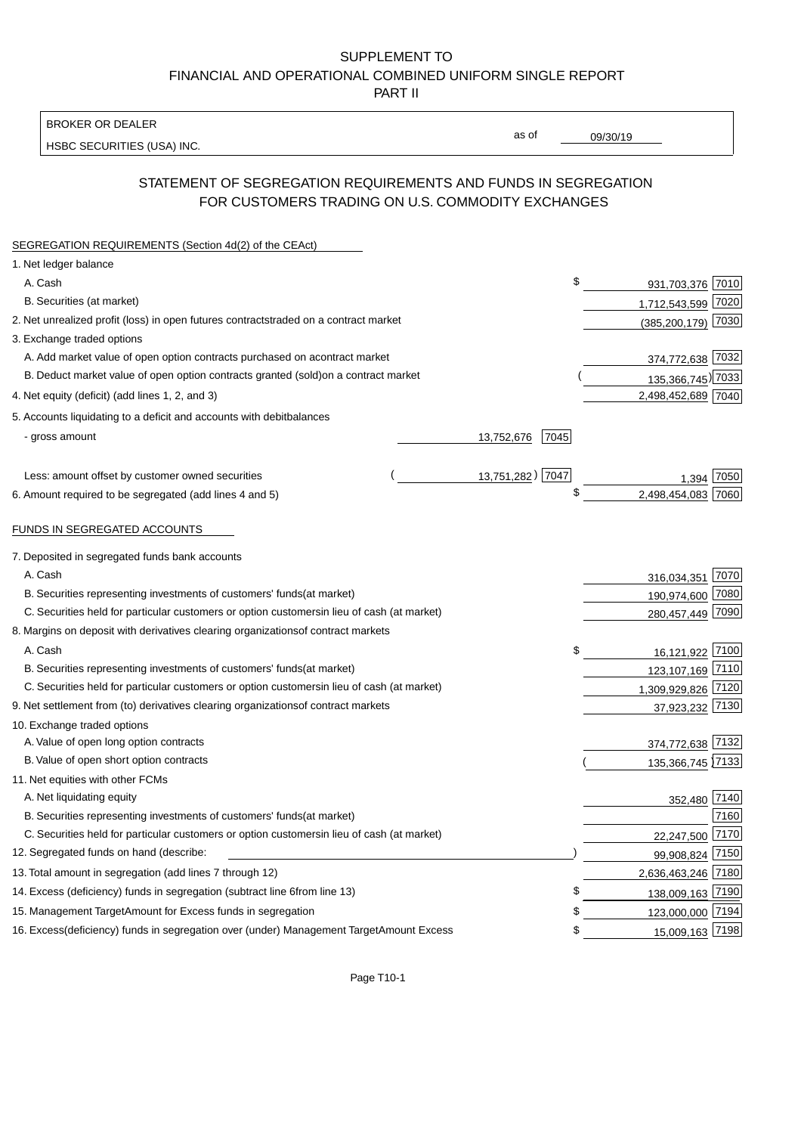BROKER OR DEALER

HSBC SECURITIES (USA) INC.

09/30/19

as of

## STATEMENT OF SEGREGATION REQUIREMENTS AND FUNDS IN SEGREGATION FOR CUSTOMERS TRADING ON U.S. COMMODITY EXCHANGES

| SEGREGATION REQUIREMENTS (Section 4d(2) of the CEAct)                                          |                    |                        |      |
|------------------------------------------------------------------------------------------------|--------------------|------------------------|------|
| 1. Net ledger balance                                                                          |                    |                        |      |
| A. Cash                                                                                        | \$                 | 931,703,376 7010       |      |
| B. Securities (at market)                                                                      |                    | 1,712,543,599 7020     |      |
| 2. Net unrealized profit (loss) in open futures contracts<br>traded on a contract market       |                    | $(385, 200, 179)$ 7030 |      |
| 3. Exchange traded options                                                                     |                    |                        |      |
| A. Add market value of open option contracts purchased on a<br>contract market                 |                    | 374,772,638 7032       |      |
| B. Deduct market value of open option contracts granted (sold)<br>on a contract market         |                    | 135,366,745) 7033      |      |
| 4. Net equity (deficit) (add lines 1, 2, and 3)                                                |                    | 2,498,452,689 7040     |      |
| 5. Accounts liquidating to a deficit and accounts with debit<br>balances                       |                    |                        |      |
| - gross amount                                                                                 | 13,752,676<br>7045 |                        |      |
|                                                                                                |                    |                        |      |
| Less: amount offset by customer owned securities                                               | 13,751,282) 7047   | 1.394                  | 7050 |
| 6. Amount required to be segregated (add lines 4 and 5)                                        | \$                 | 2,498,454,083          | 7060 |
|                                                                                                |                    |                        |      |
| FUNDS IN SEGREGATED ACCOUNTS                                                                   |                    |                        |      |
| 7. Deposited in segregated funds bank accounts                                                 |                    |                        |      |
| A. Cash                                                                                        |                    | 316,034,351 7070       |      |
| B. Securities representing investments of customers' funds<br>(at market)                      |                    | 190,974,600 7080       |      |
| C. Securities held for particular customers or option customers<br>in lieu of cash (at market) |                    | 280,457,449 7090       |      |
| 8. Margins on deposit with derivatives clearing organizations<br>of contract markets           |                    |                        |      |
| A. Cash                                                                                        | \$                 | 16,121,922 7100        |      |
| B. Securities representing investments of customers' funds<br>(at market)                      |                    | 123,107,169 7110       |      |
| C. Securities held for particular customers or option customers<br>in lieu of cash (at market) |                    | 1,309,929,826 7120     |      |
| 9. Net settlement from (to) derivatives clearing organizations<br>of contract markets          |                    | 37,923,232 7130        |      |
| 10. Exchange traded options                                                                    |                    |                        |      |
| A. Value of open long option contracts                                                         |                    | 374,772,638 7132       |      |
| B. Value of open short option contracts                                                        |                    | 135,366,745 7133       |      |
| 11. Net equities with other FCMs                                                               |                    |                        |      |
| A. Net liquidating equity                                                                      |                    | 352,480 7140           |      |
| B. Securities representing investments of customers' funds<br>(at market)                      |                    |                        | 7160 |
| C. Securities held for particular customers or option customers<br>in lieu of cash (at market) |                    | 22,247,500 7170        |      |
| 12. Segregated funds on hand (describe:                                                        |                    | 99,908,824 7150        |      |
| 13. Total amount in segregation (add lines 7 through 12)                                       |                    | 2,636,463,246 7180     |      |
| 14. Excess (deficiency) funds in segregation (subtract line 6 from line 13)                    | \$                 | 138,009,163 7190       |      |
| 15. Management Target Amount for Excess funds in segregation                                   | \$                 | 123,000,000 7194       |      |
| 16. Excess (deficiency) funds in segregation over (under) Management Target Amount Excess      | \$                 | 15,009,163 7198        |      |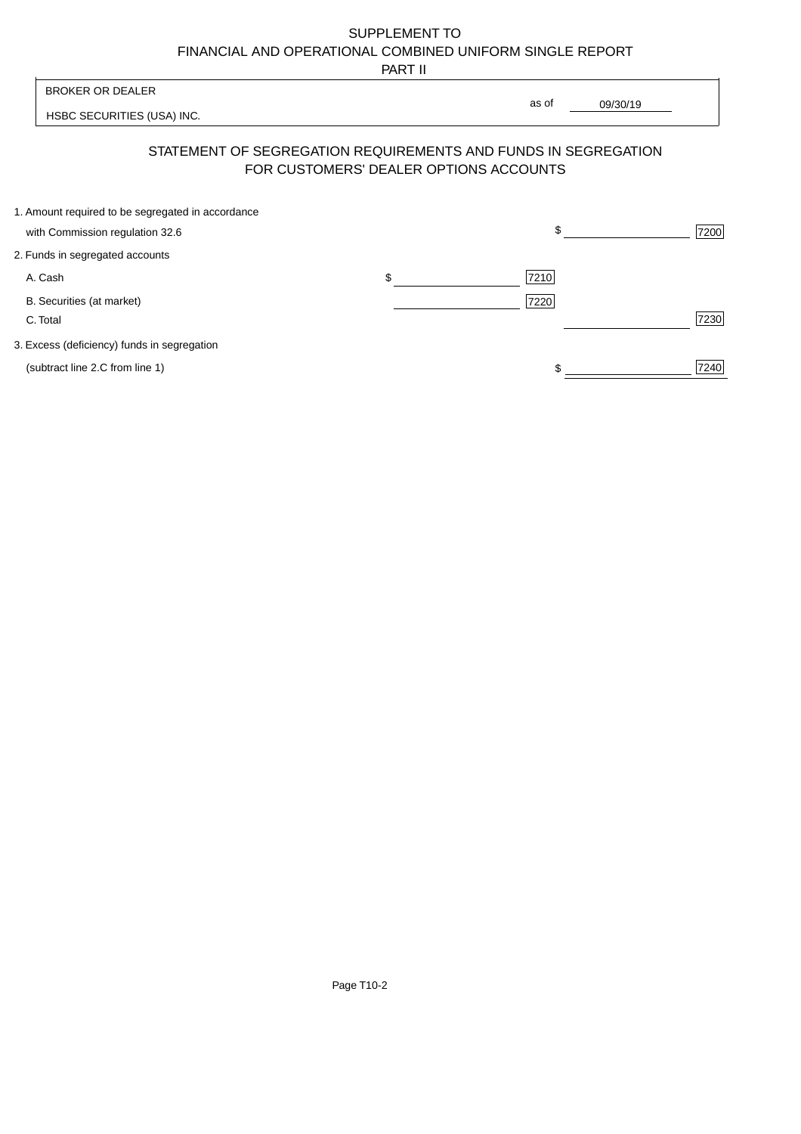PART II

|                                                   | 1 AB 11                                |                                                                |      |
|---------------------------------------------------|----------------------------------------|----------------------------------------------------------------|------|
| <b>BROKER OR DEALER</b>                           |                                        | as of                                                          |      |
| HSBC SECURITIES (USA) INC.                        |                                        | 09/30/19                                                       |      |
|                                                   | FOR CUSTOMERS' DEALER OPTIONS ACCOUNTS | STATEMENT OF SEGREGATION REQUIREMENTS AND FUNDS IN SEGREGATION |      |
| 1. Amount required to be segregated in accordance |                                        |                                                                |      |
| with Commission regulation 32.6                   |                                        | \$                                                             | 7200 |
| 2. Funds in segregated accounts                   |                                        |                                                                |      |
| A. Cash                                           | \$                                     | 7210                                                           |      |
| B. Securities (at market)                         |                                        | 7220                                                           |      |
| C. Total                                          |                                        |                                                                | 7230 |
| 3. Excess (deficiency) funds in segregation       |                                        |                                                                |      |
| (subtract line 2.C from line 1)                   |                                        |                                                                | 7240 |
|                                                   |                                        |                                                                |      |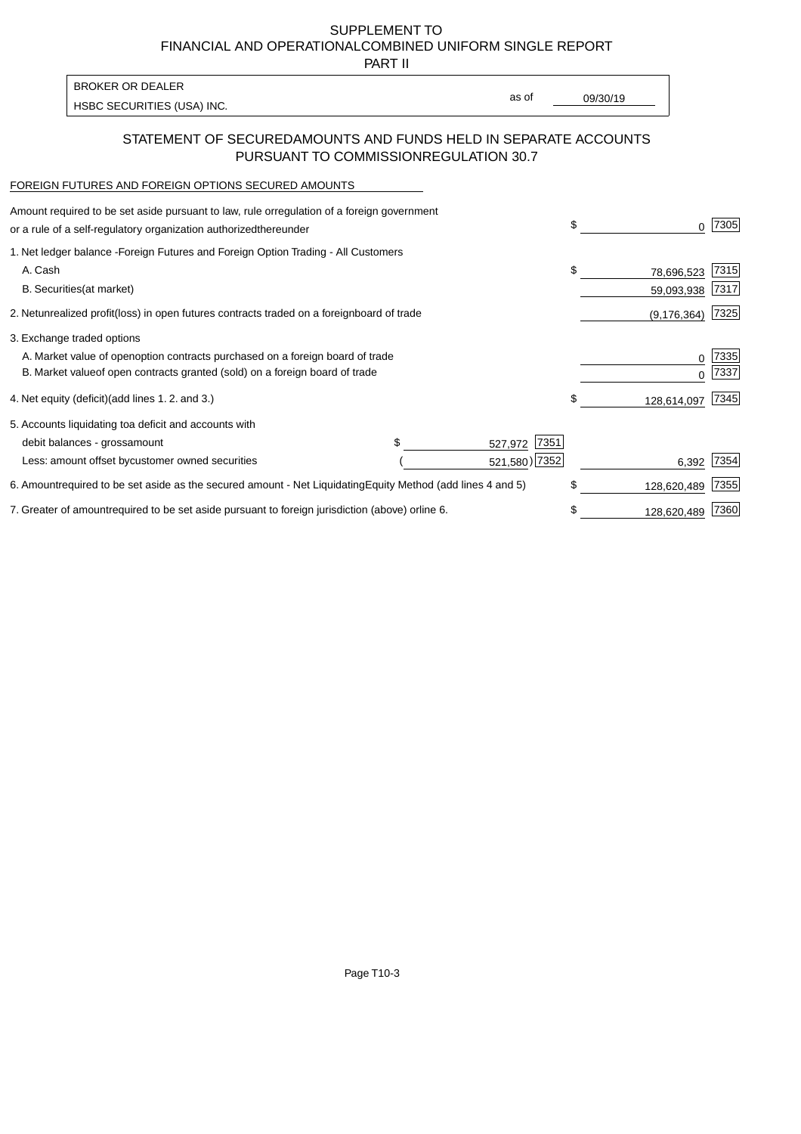PART II

HSBC SECURITIES (USA) INC. The second of the second of the second of the second of the second of the second of the second of the second of the second of the second of the second of the second of the second of the second of BROKER OR DEALER

as of

### STATEMENT OF SECURED AMOUNTS AND FUNDS HELD IN SEPARATE ACCOUNTS PURSUANT TO COMMISSION REGULATION 30.7

#### FOREIGN FUTURES AND FOREIGN OPTIONS SECURED AMOUNTS

| regulation of a foreign government<br>Amount required to be set aside pursuant to law, rule or<br>or a rule of a self-regulatory organization authorized<br>thereunder                       |                                   |                                  | \$                             | 7305         |
|----------------------------------------------------------------------------------------------------------------------------------------------------------------------------------------------|-----------------------------------|----------------------------------|--------------------------------|--------------|
| 1. Net ledger balance - Foreign Futures and Foreign Option Trading - All Customers<br>A. Cash<br><b>B.</b> Securities<br>(at market)                                                         |                                   |                                  | \$<br>78,696,523<br>59,093,938 | 7315<br>7317 |
| unrealized profit (loss) in open futures contracts traded on a foreign<br>2. Net                                                                                                             | board of trade                    |                                  | (9, 176, 364)                  | 7325         |
| 3. Exchange traded options<br>A. Market value of open option contracts purchased on a foreign board of trade<br>B. Market value of open contracts granted (sold) on a foreign board of trade |                                   |                                  | $\Omega$                       | 7335<br>7337 |
| (add lines 1.2. and 3.)<br>4. Net equity (deficit)                                                                                                                                           |                                   |                                  | \$<br>128,614,097              | 7345         |
| 5. Accounts liquidating to<br>a deficit and accounts with<br>debit balances - gross<br>amount<br>Less: amount offset by<br>customer owned securities                                         |                                   | 7351<br>527,972<br>521,580) 7352 | 6,392                          | 7354         |
| 6. Amount required to be set aside as the secured amount - Net Liquidating                                                                                                                   | Equity Method (add lines 4 and 5) |                                  | \$<br>128,620,489              | 7355         |
| 7. Greater of amount required to be set aside pursuant to foreign jurisdiction (above) or line 6.                                                                                            |                                   |                                  | 128,620,489                    | 7360         |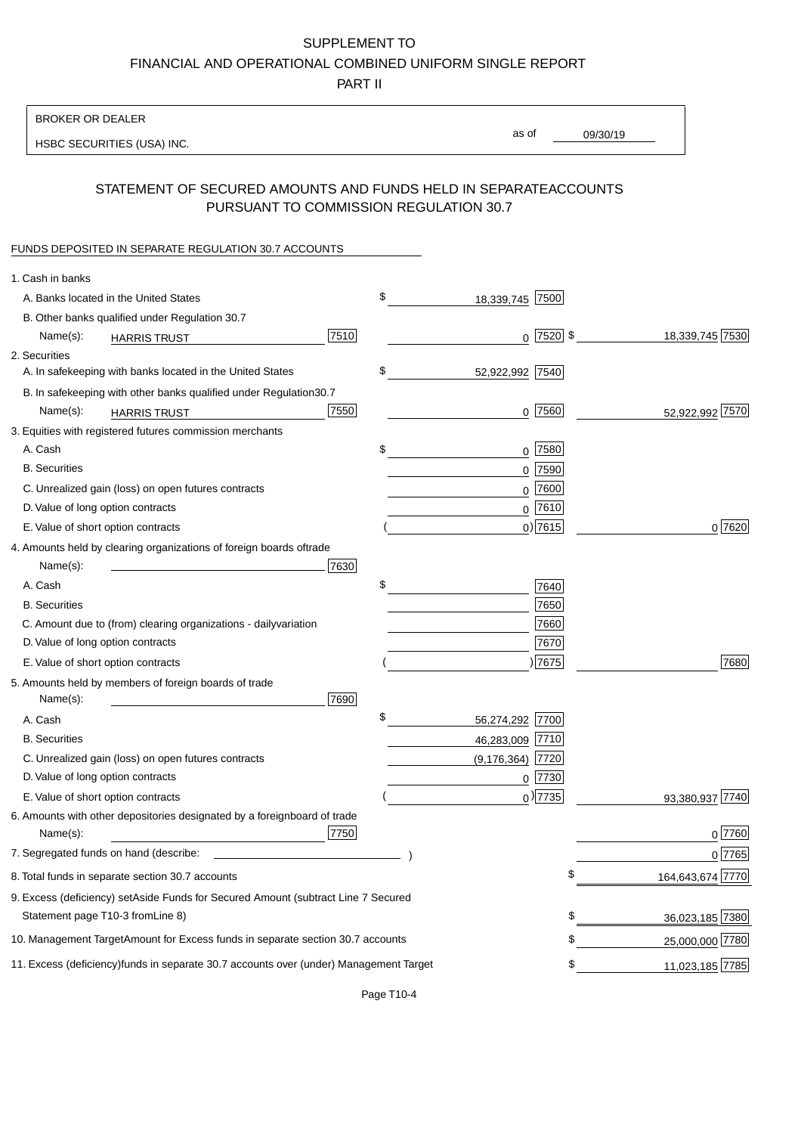PART II

| <b>BROKER OR DEALER</b>                                                                           |                        |                      |                 |                  |
|---------------------------------------------------------------------------------------------------|------------------------|----------------------|-----------------|------------------|
| HSBC SECURITIES (USA) INC.                                                                        |                        | as of                | 09/30/19        |                  |
|                                                                                                   |                        |                      |                 |                  |
| STATEMENT OF SECURED AMOUNTS AND FUNDS HELD IN SEPARATE<br>PURSUANT TO COMMISSION REGULATION 30.7 |                        |                      | <b>ACCOUNTS</b> |                  |
| FUNDS DEPOSITED IN SEPARATE REGULATION 30.7 ACCOUNTS                                              |                        |                      |                 |                  |
| 1. Cash in banks                                                                                  |                        |                      |                 |                  |
| A. Banks located in the United States                                                             | \$                     | 18,339,745 7500      |                 |                  |
| B. Other banks qualified under Regulation 30.7                                                    |                        |                      |                 |                  |
| Name(s):<br><b>HARRIS TRUST</b>                                                                   | 7510                   | $0$  7520 \$         |                 | 18,339,745 7530  |
| 2. Securities                                                                                     |                        |                      |                 |                  |
| A. In safekeeping with banks located in the United States                                         | \$                     | 52,922,992 7540      |                 |                  |
| B. In safekeeping with other banks qualified under Regulation                                     | 30.7                   |                      |                 |                  |
| Name(s):<br><b>HARRIS TRUST</b>                                                                   | 7550                   | $0$ 7560             |                 | 52,922,992 7570  |
| 3. Equities with registered futures commission merchants                                          |                        |                      |                 |                  |
| A. Cash                                                                                           | \$                     | $0$ 7580             |                 |                  |
| <b>B.</b> Securities                                                                              |                        | $0$ 7590             |                 |                  |
| C. Unrealized gain (loss) on open futures contracts                                               |                        | $0$ 7600             |                 |                  |
| D. Value of long option contracts                                                                 |                        | $0$ 7610             |                 |                  |
| E. Value of short option contracts                                                                |                        | $0)$ 7615            |                 | 0 7620           |
| 4. Amounts held by clearing organizations of foreign boards of                                    | trade                  |                      |                 |                  |
| Name(s):                                                                                          | 7630                   |                      |                 |                  |
| A. Cash                                                                                           | \$                     | 7640                 |                 |                  |
| <b>B.</b> Securities                                                                              |                        | 7650                 |                 |                  |
| C. Amount due to (from) clearing organizations - daily<br>variation                               |                        | 7660                 |                 |                  |
| D. Value of long option contracts                                                                 |                        | 7670                 |                 |                  |
| E. Value of short option contracts                                                                |                        | ) 7675               |                 | 7680             |
| 5. Amounts held by members of foreign boards of trade<br>Name(s):                                 | 7690                   |                      |                 |                  |
| A. Cash                                                                                           | \$                     | 56,274,292 7700      |                 |                  |
| <b>B.</b> Securities                                                                              |                        | 46,283,009 7710      |                 |                  |
| C. Unrealized gain (loss) on open futures contracts                                               |                        | $(9, 176, 364)$ 7720 |                 |                  |
| D. Value of long option contracts                                                                 |                        | $0$ 7730             |                 |                  |
| E. Value of short option contracts                                                                |                        | $_0$ ) 7735          |                 | 93,380,937 7740  |
| 6. Amounts with other depositories designated by a foreign<br>Name(s):                            | board of trade<br>7750 |                      |                 | 0 7760           |
| 7. Segregated funds on hand (describe:                                                            |                        |                      |                 | 0 7765           |
| 8. Total funds in separate section 30.7 accounts                                                  |                        |                      | \$              | 164,643,674 7770 |
| 9. Excess (deficiency) set Aside Funds for Secured Amount (subtract Line 7 Secured                |                        |                      |                 |                  |
| Statement page T10-3 from Line 8)                                                                 |                        |                      | \$              | 36,023,185 7380  |
| 10. Management Target Amount for Excess funds in separate section 30.7 accounts                   |                        |                      | \$              | 25,000,000 7780  |
| 11. Excess (deficiency) funds in separate 30.7 accounts over (under) Management Target            |                        |                      | \$              | 11,023,185 7785  |
|                                                                                                   |                        |                      |                 |                  |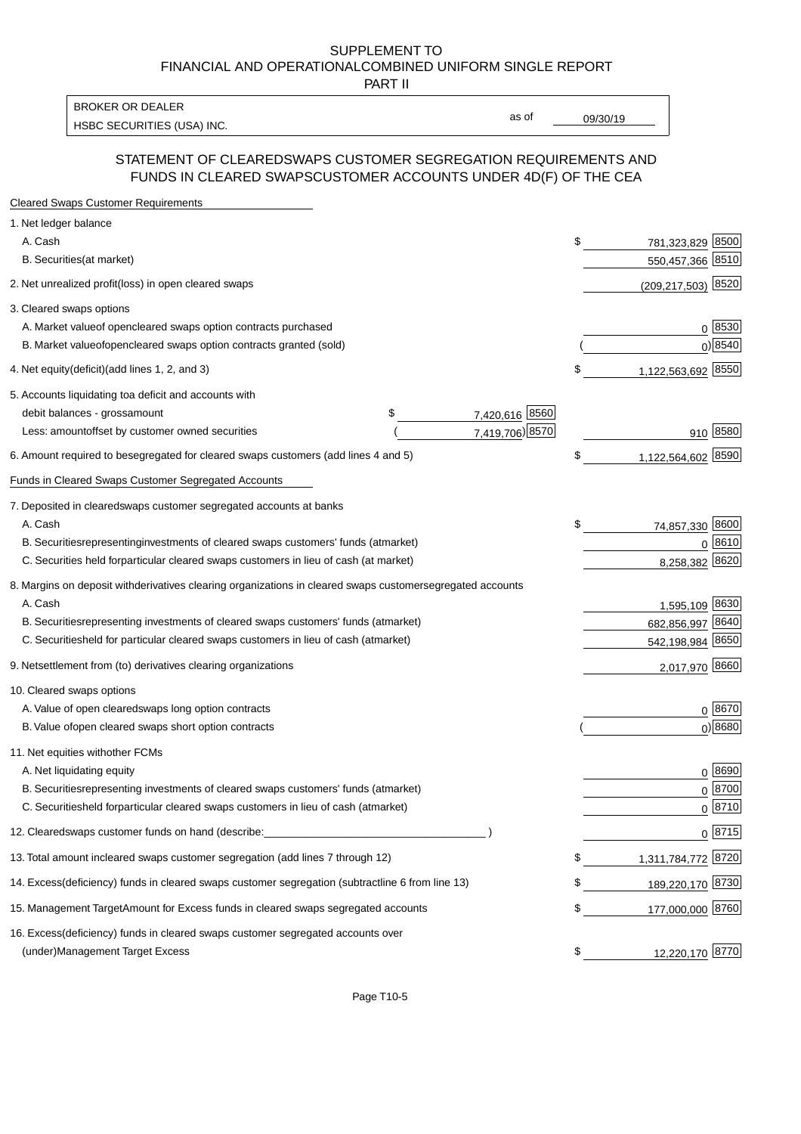PART II

HSBC SECURITIES (USA) INC. The contract of the contract of the contract of the contract of the contract of the contract of the contract of the contract of the contract of the contract of the contract of the contract of the BROKER OR DEALER

as of

#### STATEMENT OF CLEARED SWAPS CUSTOMER SEGREGATION REQUIREMENTS AND FUNDS IN CLEARED SWAPS CUSTOMER ACCOUNTS UNDER 4D(F) OF THE CEA

| <b>Cleared Swaps Customer Requirements</b>                                                                  |    |                        |
|-------------------------------------------------------------------------------------------------------------|----|------------------------|
| 1. Net ledger balance                                                                                       |    |                        |
| A. Cash                                                                                                     | \$ | 781,323,829 8500       |
| B. Securities (at market)                                                                                   |    | 550,457,366 8510       |
| 2. Net unrealized profit (loss) in open cleared swaps                                                       |    | $(209, 217, 503)$ 8520 |
| 3. Cleared swaps options                                                                                    |    |                        |
| A. Market value of open cleared swaps option contracts purchased                                            |    | 0   8530               |
| B. Market value of open cleared swaps option contracts granted (sold)                                       |    | $0)$ 8540              |
| 4. Net equity (deficit) (add lines 1, 2, and 3)                                                             | \$ | 1,122,563,692 8550     |
| 5. Accounts liquidating to a deficit and accounts with                                                      |    |                        |
| 7,420,616 8560<br>debit balances - gross<br>\$<br>amount                                                    |    |                        |
| 7,419,706) 8570<br>Less: amount offset by customer owned securities                                         |    | 910 8580               |
| 6. Amount required to be segregated for cleared swaps customers (add lines 4 and 5)                         | \$ | 1,122,564,602 8590     |
| Funds in Cleared Swaps Customer Segregated Accounts                                                         |    |                        |
| 7. Deposited in cleared swaps customer segregated accounts at banks                                         |    |                        |
| A. Cash                                                                                                     | \$ | 74,857,330 8600        |
| B. Securities representing investments of cleared swaps customers' funds (at market)                        |    | $0^{8610}$             |
| C. Securities held for particular cleared swaps customers in lieu of cash (at market)                       |    | 8,258,382 8620         |
| 8. Margins on deposit with derivatives clearing organizations in cleared swaps customer segregated accounts |    |                        |
| A. Cash                                                                                                     |    | 1,595,109 8630         |
| representing investments of cleared swaps customers' funds (at market)<br><b>B.</b> Securities              |    | 682,856,997 8640       |
| C. Securities held for particular cleared swaps customers in lieu of cash (at market)                       |    | 542,198,984 8650       |
| 9. Net settlement from (to) derivatives clearing organizations                                              |    | 2,017,970 8660         |
| 10. Cleared swaps options                                                                                   |    |                        |
| A. Value of open cleared swaps long option contracts                                                        |    | $0^{8670}$             |
| B. Value of open cleared swaps short option contracts                                                       |    | $0$ ) 8680             |
| 11. Net equities with other FCMs                                                                            |    |                        |
| A. Net liquidating equity                                                                                   |    | $0^{8690}$             |
| B. Securities representing investments of cleared swaps customers' funds (at market)                        |    | $0^{8700}$             |
| C. Securities held for particular cleared swaps customers in lieu of cash (at market)                       |    | 0 8710                 |
| 12. Cleared swaps customer funds on hand (describe:                                                         |    | $0 \;  8715 $          |
| 13. Total amount in cleared swaps customer segregation (add lines 7 through 12)                             | S  | 1,311,784,772 8720     |
| 14. Excess (deficiency) funds in cleared swaps customer segregation (subtract line 6 from line 13)          |    | 189,220,170 8730       |
| 15. Management Target Amount for Excess funds in cleared swaps segregated accounts                          | \$ | 177,000,000 8760       |
| 16. Excess<br>(deficiency) funds in cleared swaps customer segregated accounts over                         |    |                        |
| <b>Management Target Excess</b><br>(under)                                                                  | \$ | 12,220,170 8770        |